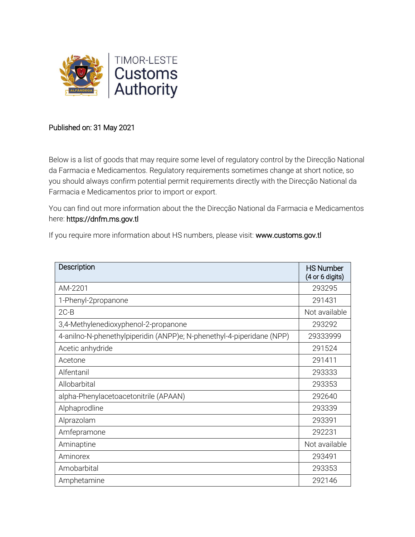

## Published on: 31 May 2021

Below is a list of goods that may require some level of regulatory control by the Direcção National da Farmacia e Medicamentos. Regulatory requirements sometimes change at short notice, so you should always confirm potential permit requirements directly with the Direcção National da Farmacia e Medicamentos prior to import or export.

You can find out more information about the the Direcção National da Farmacia e Medicamentos here: https://dnfm.ms.gov.tl

If you require more information about HS numbers, please visit: www.customs.gov.tl

| Description                                                           | <b>HS Number</b><br>(4 or 6 digits) |
|-----------------------------------------------------------------------|-------------------------------------|
| AM-2201                                                               | 293295                              |
| 1-Phenyl-2propanone                                                   | 291431                              |
| $2C-B$                                                                | Not available                       |
| 3,4-Methylenedioxyphenol-2-propanone                                  | 293292                              |
| 4-anilno-N-phenethylpiperidin (ANPP)e; N-phenethyl-4-piperidane (NPP) | 29333999                            |
| Acetic anhydride                                                      | 291524                              |
| Acetone                                                               | 291411                              |
| Alfentanil                                                            | 293333                              |
| Allobarbital                                                          | 293353                              |
| alpha-Phenylacetoacetonitrile (APAAN)                                 | 292640                              |
| Alphaprodline                                                         | 293339                              |
| Alprazolam                                                            | 293391                              |
| Amfepramone                                                           | 292231                              |
| Aminaptine                                                            | Not available                       |
| Aminorex                                                              | 293491                              |
| Amobarbital                                                           | 293353                              |
| Amphetamine                                                           | 292146                              |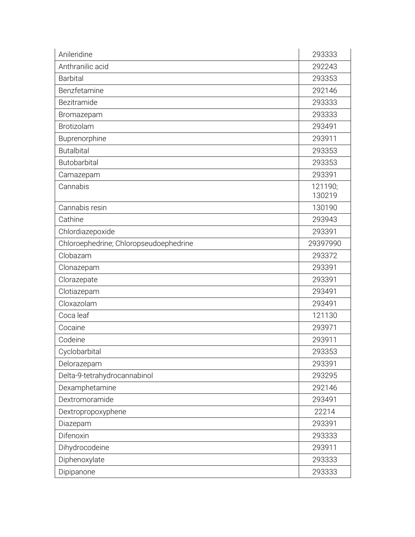| Anileridine                            | 293333            |
|----------------------------------------|-------------------|
| Anthranilic acid                       | 292243            |
| <b>Barbital</b>                        | 293353            |
| Benzfetamine                           | 292146            |
| Bezitramide                            | 293333            |
| Bromazepam                             | 293333            |
| Brotizolam                             | 293491            |
| Buprenorphine                          | 293911            |
| <b>Butalbital</b>                      | 293353            |
| Butobarbital                           | 293353            |
| Camazepam                              | 293391            |
| Cannabis                               | 121190;<br>130219 |
| Cannabis resin                         | 130190            |
| Cathine                                | 293943            |
| Chlordiazepoxide                       | 293391            |
| Chloroephedrine; Chloropseudoephedrine | 29397990          |
| Clobazam                               | 293372            |
| Clonazepam                             | 293391            |
| Clorazepate                            | 293391            |
| Clotiazepam                            | 293491            |
| Cloxazolam                             | 293491            |
| Coca leaf                              | 121130            |
| Cocaine                                | 293971            |
| Codeine                                | 293911            |
| Cyclobarbital                          | 293353            |
| Delorazepam                            | 293391            |
| Delta-9-tetrahydrocannabinol           | 293295            |
| Dexamphetamine                         | 292146            |
| Dextromoramide                         | 293491            |
| Dextropropoxyphene                     | 22214             |
| Diazepam                               | 293391            |
| Difenoxin                              | 293333            |
| Dihydrocodeine                         | 293911            |
| Diphenoxylate                          | 293333            |
| Dipipanone                             | 293333            |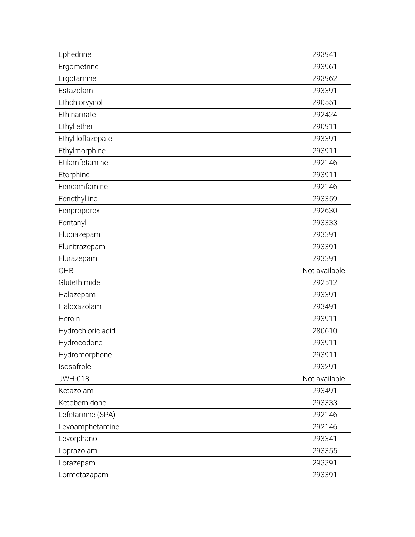| Ephedrine         | 293941        |
|-------------------|---------------|
| Ergometrine       | 293961        |
| Ergotamine        | 293962        |
| Estazolam         | 293391        |
| Ethchlorvynol     | 290551        |
| Ethinamate        | 292424        |
| Ethyl ether       | 290911        |
| Ethyl loflazepate | 293391        |
| Ethylmorphine     | 293911        |
| Etilamfetamine    | 292146        |
| Etorphine         | 293911        |
| Fencamfamine      | 292146        |
| Fenethylline      | 293359        |
| Fenproporex       | 292630        |
| Fentanyl          | 293333        |
| Fludiazepam       | 293391        |
| Flunitrazepam     | 293391        |
| Flurazepam        | 293391        |
|                   |               |
| <b>GHB</b>        | Not available |
| Glutethimide      | 292512        |
| Halazepam         | 293391        |
| Haloxazolam       | 293491        |
| Heroin            | 293911        |
| Hydrochloric acid | 280610        |
| Hydrocodone       | 293911        |
| Hydromorphone     | 293911        |
| Isosafrole        | 293291        |
| <b>JWH-018</b>    | Not available |
| Ketazolam         | 293491        |
| Ketobemidone      | 293333        |
| Lefetamine (SPA)  | 292146        |
| Levoamphetamine   | 292146        |
| Levorphanol       | 293341        |
| Loprazolam        | 293355        |
| Lorazepam         | 293391        |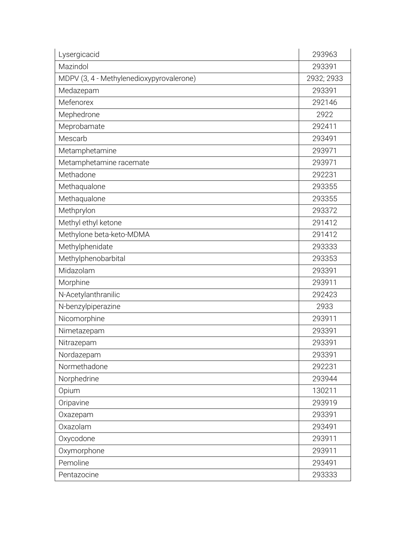| Lysergicacid                             | 293963     |
|------------------------------------------|------------|
| Mazindol                                 | 293391     |
| MDPV (3, 4 - Methylenedioxypyrovalerone) | 2932; 2933 |
| Medazepam                                | 293391     |
| Mefenorex                                | 292146     |
| Mephedrone                               | 2922       |
| Meprobamate                              | 292411     |
| Mescarb                                  | 293491     |
| Metamphetamine                           | 293971     |
| Metamphetamine racemate                  | 293971     |
| Methadone                                | 292231     |
| Methaqualone                             | 293355     |
| Methaqualone                             | 293355     |
| Methprylon                               | 293372     |
| Methyl ethyl ketone                      | 291412     |
| Methylone beta-keto-MDMA                 | 291412     |
| Methylphenidate                          | 293333     |
| Methylphenobarbital                      | 293353     |
| Midazolam                                | 293391     |
| Morphine                                 | 293911     |
| N-Acetylanthranilic                      | 292423     |
| N-benzylpiperazine                       | 2933       |
| Nicomorphine                             | 293911     |
| Nimetazepam                              | 293391     |
| Nitrazepam                               | 293391     |
| Nordazepam                               | 293391     |
| Normethadone                             | 292231     |
| Norphedrine                              | 293944     |
| Opium                                    | 130211     |
| Oripavine                                | 293919     |
| Oxazepam                                 | 293391     |
| Oxazolam                                 | 293491     |
| Oxycodone                                | 293911     |
| Oxymorphone                              | 293911     |
| Pemoline                                 | 293491     |
| Pentazocine                              | 293333     |